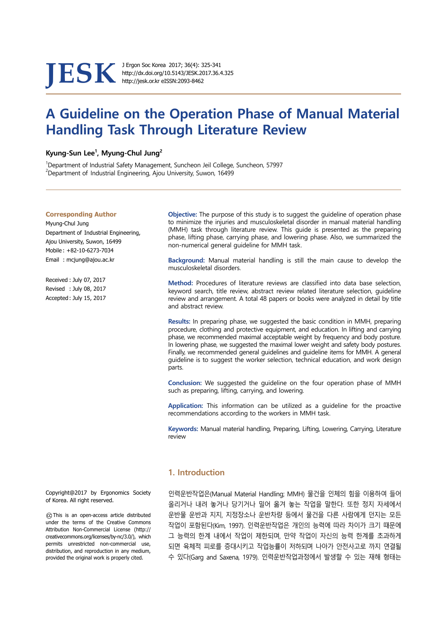**JESK** J Ergon Soc Korea 2017; 36(4): 325-341<br>http://dx.doi.org/10.5143/JESK.2017.36.4<br>http://jesk.or.kr eISSN:2093-8462

http://dx.doi.org/10.5143/JESK.2017.36.4.325 http://jesk.or.kr eISSN:2093-8462

# **A Guideline on the Operation Phase of Manual Material Handling Task Through Literature Review**

# **Kyung-Sun Lee1 , Myung-Chul Jung2**

<sup>1</sup>Department of Industrial Safety Management, Suncheon Jeil College, Suncheon, 57997 <sup>2</sup> Department of Industrial Engineering, Ajou University, Suwon, 16499

### **Corresponding Author**

Myung-Chul Jung Department of Industrial Engineering, Ajou University, Suwon, 16499 Mobile : +82-10-6273-7034 Email : mcjung@ajou.ac.kr

Received : July 07, 2017 Revised : July 08, 2017 Accepted : July 15, 2017

 **Objective:** The purpose of this study is to suggest the guideline of operation phase to minimize the injuries and musculoskeletal disorder in manual material handling (MMH) task through literature review. This guide is presented as the preparing phase, lifting phase, carrying phase, and lowering phase. Also, we summarized the non-numerical general guideline for MMH task.

**Background:** Manual material handling is still the main cause to develop the musculoskeletal disorders.

**Method:** Procedures of literature reviews are classified into data base selection, keyword search, title review, abstract review related literature selection, guideline review and arrangement. A total 48 papers or books were analyzed in detail by title and abstract review.

**Results:** In preparing phase, we suggested the basic condition in MMH, preparing procedure, clothing and protective equipment, and education. In lifting and carrying phase, we recommended maximal acceptable weight by frequency and body posture. In lowering phase, we suggested the maximal lower weight and safety body postures. Finally, we recommended general guidelines and guideline items for MMH. A general guideline is to suggest the worker selection, technical education, and work design parts.

**Conclusion:** We suggested the guideline on the four operation phase of MMH such as preparing, lifting, carrying, and lowering.

**Application:** This information can be utilized as a guideline for the proactive recommendations according to the workers in MMH task.

**Keywords:** Manual material handling, Preparing, Lifting, Lowering, Carrying, Literature review

# **1. Introduction**

인력운반작업은(Manual Material Handling; MMH) 물건을 인체의 힘을 이용하여 들어 올리거나 내려 놓거나 당기거나 밀어 옮겨 놓는 작업을 말한다. 또한 정지 자세에서 운반물 운반과 지지, 지정장소나 운반차량 등에서 물건을 다른 사람에게 던지는 모든 작업이 포함된다(Kim, 1997). 인력운반작업은 개인의 능력에 따라 차이가 크기 때문에 그 능력의 한계 내에서 작업이 제한되며, 만약 작업이 자신의 능력 한계를 초과하게 되면 육체적 피로를 증대시키고 작업능률이 저하되며 나아가 안전사고로 까지 연결될 수 있다(Garg and Saxena, 1979). 인력운반작업과정에서 발생할 수 있는 재해 형태는

Copyright@2017 by Ergonomics Society of Korea. All right reserved.

○cc This is an open-access article distributed under the terms of the Creative Commons Attribution Non-Commercial License (http:// creativecommons.org/licenses/by-nc/3.0/), which permits unrestricted non-commercial use, distribution, and reproduction in any medium, provided the original work is properly cited.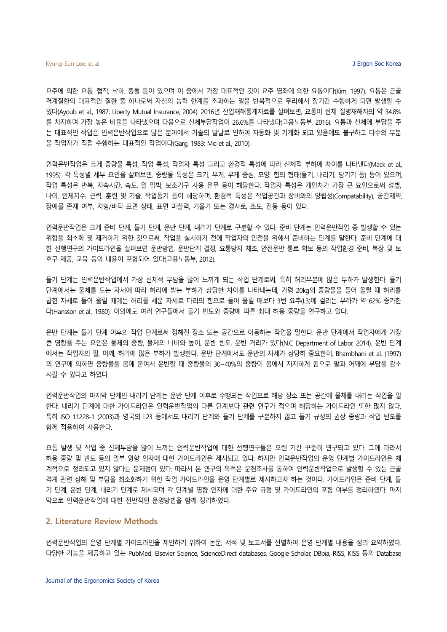요추에 의한 요통, 협착, 낙하, 충돌 등이 있으며 이 중에서 가장 대표적인 것이 요추 염좌에 의한 요통이다(Kim, 1997). 요통은 근골 격계질환의 대표적인 질환 중 하나로써 자신의 능력 한계를 초과하는 일을 반복적으로 무리해서 장기간 수행하게 되면 발생할 수 있다(Ayoub et al., 1987; Liberty Mutual Insurance, 2004). 2016년 산업재해통계자료를 살펴보면, 요통이 전체 질병재해자의 약 34.8% 를 차지하며 가장 높은 비율을 나타냈으며 다음으로 신체부담작업이 26.6%를 나타냈다(고용노동부, 2016). 요통과 신체에 부담을 주 는 대표적인 작업은 인력운반작업으로 많은 분야에서 기술의 발달로 인하여 자동화 및 기계화 되고 있음에도 불구하고 다수의 부분 을 작업자가 직접 수행하는 대표적인 작업이다(Garg, 1983; Mo et al., 2010).

인력운반작업은 크게 중량물 특성, 작업 특성, 작업자 특성 그리고 환경적 특성에 따라 신체적 부하에 차이를 나타낸다(Mack et al., 1995). 각 특성별 세부 요인을 살펴보면, 중량물 특성은 크기, 무게, 무게 중심, 모양, 힘의 형태(들기, 내리기, 당기기 등) 등이 있으며, 작업 특성은 반복, 지속시간, 속도, 일 압박, 보조기구 사용 유무 등이 해당한다. 작업자 특성은 개인차가 가장 큰 요인으로써 성별, 나이, 인체치수, 근력, 훈련 및 기술, 작업동기 등이 해당하며, 환경적 특성은 작업공간과 장비와의 양립성(Compatability), 공간제약, 장애물 존재 여부, 지형/바닥 표면 상태, 표면 마찰력, 기울기 또는 경사로, 조도, 진동 등이 있다.

인력운반작업은 크게 준비 단계, 들기 단계, 운반 단계, 내리기 단계로 구분할 수 있다. 준비 단계는 인력운반작업 중 발생할 수 있는 위험을 최소화 및 제거하기 위한 것으로써, 작업을 실시하기 전에 작업자의 안전을 위해서 준비하는 단계를 말한다. 준비 단계에 대 한 선행연구의 가이드라인을 살펴보면 운반방법, 운반단계 결정, 요통방지 체조, 안전운반 통로 확보 등의 작업환경 준비, 복장 및 보 호구 제공, 교육 등의 내용이 포함되어 있다(고용노동부, 2012).

들기 단계는 인력운반작업에서 가장 신체적 부담을 많이 느끼게 되는 작업 단계로써, 특히 허리부분에 많은 부하가 발생한다. 들기 단계에서는 물체를 드는 자세에 따라 허리에 받는 부하가 상당한 차이를 나타내는데, 가령 20kg의 중량물을 들어 올릴 때 허리를 굽힌 자세로 들어 올릴 때에는 허리를 세운 자세로 다리의 힘으로 들어 올릴 때보다 3번 요추(L3)에 걸리는 부하가 약 62% 증가한 다(Hansson et al., 1980). 이외에도 여러 연구들에서 들기 빈도와 중량에 따른 최대 허용 중량을 연구하고 있다.

운반 단계는 들기 단계 이후의 작업 단계로써 정해진 장소 또는 공간으로 이동하는 작업을 말한다. 운반 단계에서 작업자에게 가장 큰 영향을 주는 요인은 물체의 중량, 물체의 너비와 높이, 운반 빈도, 운반 거리가 있다(N.C Department of Labor, 2014). 운반 단계 에서는 작업자의 팔, 어깨, 허리에 많은 부하가 발생한다. 운반 단계에서도 운반의 자세가 상당히 중요한데, Bhambhani et al. (1997) 의 연구에 의하면 중량물을 몸에 붙여서 운반할 때 중량물의 30~40%의 중량이 몸에서 지지하게 됨으로 팔과 어깨에 부담을 감소 시킬 수 있다고 하였다.

인력운반작업의 마지막 단계인 내리기 단계는 운반 단계 이후로 수행되는 작업으로 해당 장소 또는 공간에 물체를 내리는 작업을 말 한다. 내리기 단계에 대한 가이드라인은 인력운반작업의 다른 단계보다 관련 연구가 적으며 해당하는 가이드라인 또한 많지 않다. 특히 ISO 11228-1 (2003)과 영국의 L23 등에서도 내리기 단계와 들기 단계를 구분하지 않고 들기 규정의 권장 중량과 작업 빈도를 함께 적용하여 사용한다.

요통 발생 및 작업 중 신체부담을 많이 느끼는 인력운반작업에 대한 선행연구들은 오랜 기간 꾸준히 연구되고 있다. 그에 따라서 허용 중량 및 빈도 등의 일부 영향 인자에 대한 가이드라인은 제시되고 있다. 하지만 인력운반작업의 운영 단계별 가이드라인은 체 계적으로 정리되고 있지 않다는 문제점이 있다. 따라서 본 연구의 목적은 문헌조사를 통하여 인력운반작업으로 발생할 수 있는 근골 격계 관련 상해 및 부담을 최소화하기 위한 작업 가이드라인을 운영 단계별로 제시하고자 하는 것이다. 가이드라인은 준비 단계, 들 기 단계, 운반 단계, 내리기 단계로 제시되며 각 단계별 영향 인자에 대한 주요 규정 및 가이드라인의 포함 여부를 정리하였다. 마지 막으로 인력운반작업에 대한 전반적인 운영방법을 함께 정리하였다.

### **2. Literature Review Methods**

인력운반작업의 운영 단계별 가이드라인을 제안하기 위하여 논문, 서적 및 보고서를 선별하여 운영 단계별 내용을 정리 요약하였다. 다양한 기능을 제공하고 있는 PubMed, Elsevier Science, ScienceDirect databases, Google Scholar, DBpia, RISS, KISS 등의 Database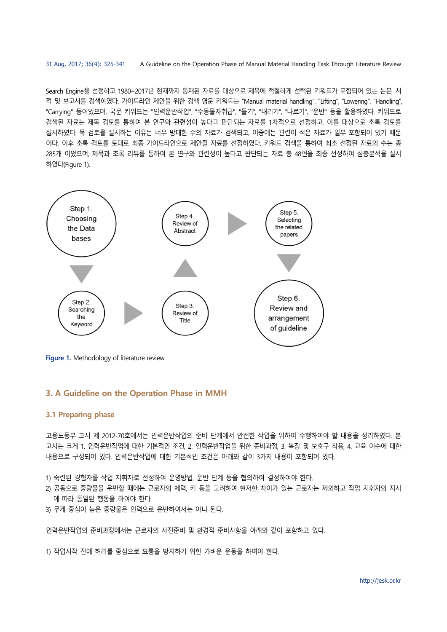Search Engine을 선정하고 1980~2017년 현재까지 등재된 자료를 대상으로 제목에 적절하게 선택된 키워드가 포함되어 있는 논문, 서 적 및 보고서를 검색하였다. 가이드라인 제안을 위한 검색 영문 키워드는 "Manual material handling", "Lifting", "Lowering", "Handling", "Carrying" 등이었으며, 국문 키워드는 "인력운반작업", "수동물자취급", "들기", "내리기", "나르기", "운반" 등을 활용하였다. 키워드로 검색된 자료는 제목 검토를 통하여 본 연구와 관련성이 높다고 판단되는 자료를 1차적으로 선정하고, 이를 대상으로 초록 검토를 실시하였다. 목 검토를 실시하는 이유는 너무 방대한 수의 자료가 검색되고, 이중에는 관련이 적은 자료가 일부 포함되어 있기 때문 이다. 이후 초록 검토를 토대로 최종 가이드라인으로 제안될 자료를 선정하였다. 키워드 검색을 통하여 최초 선정된 자료의 수는 총 285개 이었으며, 제목과 초록 리뷰를 통하여 본 연구와 관련성이 높다고 판단되는 자료 총 48편을 최종 선정하여 심층분석을 실시 하였다(Figure 1).



**Figure 1.** Methodology of literature review

# **3. A Guideline on the Operation Phase in MMH**

# **3.1 Preparing phase**

고용노동부 고시 제 2012-70호에서는 인력운반작업의 준비 단계에서 안전한 작업을 위하여 수행하여야 할 내용을 정리하였다. 본 고시는 크게 1. 인력운반작업에 대한 기본적인 조건, 2. 인력운반작업을 위한 준비과정, 3. 복장 및 보호구 착용, 4. 교육 이수에 대한 내용으로 구성되어 있다. 인력운반작업에 대한 기본적인 조건은 아래와 같이 3가지 내용이 포함되어 있다.

1) 숙련된 경험자를 작업 지휘자로 선정하여 운영방법, 운반 단계 등을 협의하여 결정하여야 한다.

- 2) 공동으로 중량물을 운반할 때에는 근로자의 체력, 키 등을 고려하여 현저한 차이가 있는 근로자는 제외하고 작업 지휘자의 지시 에 따라 통일된 행동을 하여야 한다.
- 3) 무게 중심이 높은 중량물은 인력으로 운반하여서는 아니 된다.

인력운반작업의 준비과정에서는 근로자의 사전준비 및 환경적 준비사항을 아래와 같이 포함하고 있다.

1) 작업시작 전에 허리를 중심으로 요통을 방지하기 위한 가벼운 운동을 하여야 한다.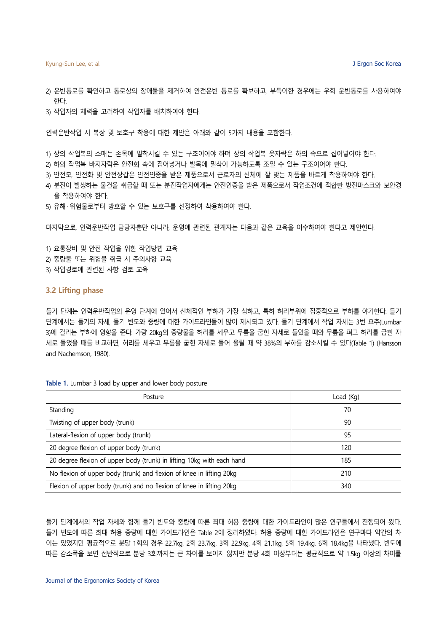- 2) 운반통로를 확인하고 통로상의 장애물을 제거하여 안전운반 통로를 확보하고, 부득이한 경우에는 우회 운반통로를 사용하여야 한다.
- 3) 작업자의 체력을 고려하여 작업자를 배치하여야 한다.

인력운반작업 시 복장 및 보호구 착용에 대한 제안은 아래와 같이 5가지 내용을 포함한다.

- 1) 상의 작업복의 소매는 손목에 밀착시킬 수 있는 구조이어야 하며 상의 작업복 옷자락은 하의 속으로 집어넣어야 한다.
- 2) 하의 작업복 바지자락은 안전화 속에 집어넣거나 발목에 밀착이 가능하도록 조일 수 있는 구조이어야 한다.
- 3) 안전모, 안전화 및 안전장갑은 안전인증을 받은 제품으로서 근로자의 신체에 잘 맞는 제품을 바르게 착용하여야 한다.
- 4) 분진이 발생하는 물건을 취급할 때 또는 분진작업자에게는 안전인증을 받은 제품으로서 작업조건에 적합한 방진마스크와 보안경 을 착용하여야 한다.
- 5) 유해 · 위험물로부터 방호할 수 있는 보호구를 선정하여 착용하여야 한다.

마지막으로, 인력운반작업 담당자뿐만 아니라, 운영에 관련된 관계자는 다음과 같은 교육을 이수하여야 한다고 제안한다.

1) 요통장비 및 안전 작업을 위한 작업방법 교육 2) 중량물 또는 위험물 취급 시 주의사항 교육 3) 작업경로에 관련된 사항 검토 교육

# **3.2 Lifting phase**

들기 단계는 인력운반작업의 운영 단계에 있어서 신체적인 부하가 가장 심하고, 특히 허리부위에 집중적으로 부하를 야기한다. 들기 단계에서는 들기의 자세, 들기 빈도와 중량에 대한 가이드라인들이 많이 제시되고 있다. 들기 단계에서 작업 자세는 3번 요추(Lumbar 3)에 걸리는 부하에 영향을 준다. 가량 20kg의 중량물을 허리를 세우고 무릎을 굽힌 자세로 들었을 때와 무릎을 펴고 허리를 굽힌 자 세로 들었을 때를 비교하면, 허리를 세우고 무릎을 굽힌 자세로 들어 올릴 때 약 38%의 부하를 감소시킬 수 있다(Table 1) (Hansson and Nachemson, 1980).

|  |  | Table 1. Lumbar 3 load by upper and lower body posture |  |  |  |  |  |  |  |
|--|--|--------------------------------------------------------|--|--|--|--|--|--|--|
|--|--|--------------------------------------------------------|--|--|--|--|--|--|--|

| Posture                                                                | Load (Kg) |
|------------------------------------------------------------------------|-----------|
| Standing                                                               | 70        |
| Twisting of upper body (trunk)                                         | 90        |
| Lateral-flexion of upper body (trunk)                                  | 95        |
| 20 degree flexion of upper body (trunk)                                | 120       |
| 20 degree flexion of upper body (trunk) in lifting 10kg with each hand | 185       |
| No flexion of upper body (trunk) and flexion of knee in lifting 20kg   | 210       |
| Flexion of upper body (trunk) and no flexion of knee in lifting 20kg   | 340       |

들기 단계에서의 작업 자세와 함께 들기 빈도와 중량에 따른 최대 허용 중량에 대한 가이드라인이 많은 연구들에서 진행되어 왔다. 들기 빈도에 따른 최대 허용 중량에 대한 가이드라인은 Table 2에 정리하였다. 허용 중량에 대한 가이드라인은 연구마다 약간의 차 이는 있었지만 평균적으로 분당 1회의 경우 22.7kg, 2회 23.7kg, 3회 22.9kg, 4회 21.1kg, 5회 19.4kg, 6회 18.4kg을 나타냈다. 빈도에 따른 감소폭을 보면 전반적으로 분당 3회까지는 큰 차이를 보이지 않지만 분당 4회 이상부터는 평균적으로 약 1.5kg 이상의 차이를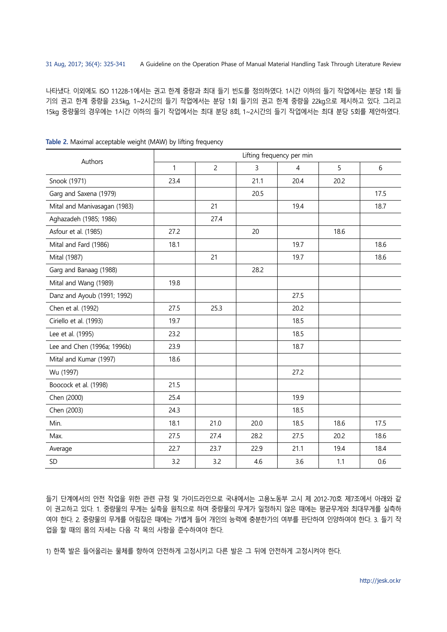나타냈다. 이외에도 ISO 11228-1에서는 권고 한계 중량과 최대 들기 빈도를 정의하였다. 1시간 이하의 들기 작업에서는 분당 1회 들 기의 권고 한계 중량을 23.5kg, 1~2시간의 들기 작업에서는 분당 1회 들기의 권고 한계 중량을 22kg으로 제시하고 있다. 그리고 15kg 중량물의 경우에는 1시간 이하의 들기 작업에서는 최대 분당 8회, 1~2시간의 들기 작업에서는 최대 분당 5회를 제안하였다.

| Authors                      | Lifting frequency per min |                |      |      |      |      |  |  |  |  |
|------------------------------|---------------------------|----------------|------|------|------|------|--|--|--|--|
|                              | $\mathbf{1}$              | $\overline{c}$ | 3    | 4    | 5    | 6    |  |  |  |  |
| Snook (1971)                 | 23.4                      |                | 21.1 | 20.4 | 20.2 |      |  |  |  |  |
| Garg and Saxena (1979)       |                           |                | 20.5 |      |      | 17.5 |  |  |  |  |
| Mital and Manivasagan (1983) |                           | 21             |      | 19.4 |      | 18.7 |  |  |  |  |
| Aghazadeh (1985; 1986)       |                           | 27.4           |      |      |      |      |  |  |  |  |
| Asfour et al. (1985)         | 27.2                      |                | 20   |      | 18.6 |      |  |  |  |  |
| Mital and Fard (1986)        | 18.1                      |                |      | 19.7 |      | 18.6 |  |  |  |  |
| Mital (1987)                 |                           | 21             |      | 19.7 |      | 18.6 |  |  |  |  |
| Garg and Banaag (1988)       |                           |                | 28.2 |      |      |      |  |  |  |  |
| Mital and Wang (1989)        | 19.8                      |                |      |      |      |      |  |  |  |  |
| Danz and Ayoub (1991; 1992)  |                           |                |      | 27.5 |      |      |  |  |  |  |
| Chen et al. (1992)           | 27.5                      | 25.3           |      | 20.2 |      |      |  |  |  |  |
| Ciriello et al. (1993)       | 19.7                      |                |      | 18.5 |      |      |  |  |  |  |
| Lee et al. (1995)            | 23.2                      |                |      | 18.5 |      |      |  |  |  |  |
| Lee and Chen (1996a; 1996b)  | 23.9                      |                |      | 18.7 |      |      |  |  |  |  |
| Mital and Kumar (1997)       | 18.6                      |                |      |      |      |      |  |  |  |  |
| Wu (1997)                    |                           |                |      | 27.2 |      |      |  |  |  |  |
| Boocock et al. (1998)        | 21.5                      |                |      |      |      |      |  |  |  |  |
| Chen (2000)                  | 25.4                      |                |      | 19.9 |      |      |  |  |  |  |
| Chen (2003)                  | 24.3                      |                |      | 18.5 |      |      |  |  |  |  |
| Min.                         | 18.1                      | 21.0           | 20.0 | 18.5 | 18.6 | 17.5 |  |  |  |  |
| Max.                         | 27.5                      | 27.4           | 28.2 | 27.5 | 20.2 | 18.6 |  |  |  |  |
| Average                      | 22.7                      | 23.7           | 22.9 | 21.1 | 19.4 | 18.4 |  |  |  |  |
| SD                           | 3.2                       | 3.2            | 4.6  | 3.6  | 1.1  | 0.6  |  |  |  |  |

**Table 2.** Maximal acceptable weight (MAW) by lifting frequency

들기 단계에서의 안전 작업을 위한 관련 규정 및 가이드라인으로 국내에서는 고용노동부 고시 제 2012-70호 제7조에서 아래와 같 이 권고하고 있다. 1. 중량물의 무게는 실측을 원칙으로 하며 중량물의 무게가 일정하지 않은 때에는 평균무게와 최대무게를 실측하 여야 한다. 2. 중량물의 무게를 어림잡은 때에는 가볍게 들어 개인의 능력에 충분한가의 여부를 판단하여 인양하여야 한다. 3. 들기 작 업을 할 때의 몸의 자세는 다음 각 목의 사항을 준수하여야 한다.

1) 한쪽 발은 들어올리는 물체를 향하여 안전하게 고정시키고 다른 발은 그 뒤에 안전하게 고정시켜야 한다.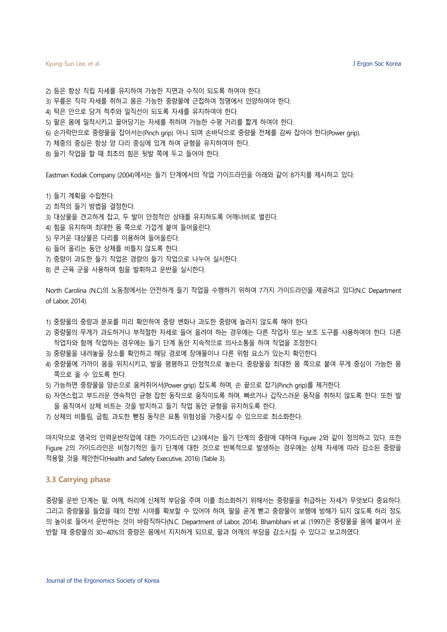2) 등은 항상 직립 자세를 유지하여 가능한 지면과 수직이 되도록 하여야 한다. 3) 무릎은 직각 자세를 취하고 몸은 가능한 중량물에 근접하여 정명에서 인양하여야 한다. 4) 턱은 안으로 당겨 척추와 일직선이 되도록 자세를 유지하여야 한다. 5) 팔은 몸에 밀착시키고 끌어당기는 자세를 취하며 가능한 수평 거리를 짧게 하여야 한다. 6) 손가락만으로 중량물을 잡아서는(Pinch grip) 아니 되며 손바닥으로 중량물 전체를 감싸 잡아야 한다(Power grip). 7) 체중의 중심은 항상 양 다리 중심에 있게 하여 균형을 유지하여야 한다.

8) 들기 작업을 할 때 최초의 힘은 뒷발 쪽에 두고 들어야 한다.

Eastman Kodak Company (2004)에서는 들기 단계에서의 작업 가이드라인을 아래와 같이 8가지를 제시하고 있다.

1) 들기 계획을 수립한다. 2) 최적의 들기 방법을 결정한다. 3) 대상물을 견고하게 잡고, 두 발이 안정적인 상태를 유지하도록 어깨너비로 벌린다. 4) 힘을 유지하며 최대한 몸 쪽으로 가깝게 붙여 들어올린다. 5) 무거운 대상물은 다리를 이용하여 들어올린다. 6) 들어 올리는 동안 상체를 비틀지 않도록 한다. 7) 중량이 과도한 들기 작업은 경량의 들기 작업으로 나누어 실시한다. 8) 큰 근육 군을 사용하여 힘을 발휘하고 운반을 실시한다.

North Carolina (N.C)의 노동청에서는 안전하게 들기 작업을 수행하기 위하여 7가지 가이드라인을 제공하고 있다(N.C Department of Labor, 2014).

- 1) 중량물의 중량과 분포를 미리 확인하여 중량 변화나 과도한 중량에 놀라지 않도록 해야 한다.
- 2) 중량물의 무게가 과도하거나 부적절한 자세로 들어 올려야 하는 경우에는 다른 작업자 또는 보조 도구를 사용하여야 한다. 다른 작업자와 함께 작업하는 경우에는 들기 단계 동안 지속적으로 의사소통을 하여 작업을 조정한다.
- 3) 중량물을 내려놓을 장소를 확인하고 해당 경로에 장애물이나 다른 위험 요소가 있는지 확인한다.
- 4) 중량물에 가까이 몸을 위치시키고, 발을 평평하고 안정적으로 놓는다. 중량물을 최대한 몸 쪽으로 붙여 무게 중심이 가능한 몸 쪽으로 올 수 있도록 한다.
- 5) 가능하면 중량물을 양손으로 움켜쥐어서(Power grip) 잡도록 하며, 손 끝으로 잡기(Pinch grip)를 제거한다.
- 6) 자연스럽고 부드러운 연속적인 균형 잡힌 동작으로 움직이도록 하며, 빠르거나 갑작스러운 동작을 취하지 않도록 한다. 또한 발 을 움직여서 상체 비트는 것을 방지하고 들기 작업 동안 균형을 유지하도록 한다.
- 7) 상체의 비틀림, 굽힘, 과도한 뻗침 동작은 요통 위험성을 가중시킬 수 있으므로 최소화한다.

마지막으로 영국의 인력운반작업에 대한 가이드라인 L23에서는 들기 단계의 중량에 대하여 Figure 2와 같이 정의하고 있다. 또한 Figure 2의 가이드라인은 비정기적인 들기 단계에 대한 것으로 반복적으로 발생하는 경우에는 상체 자세에 따라 감소된 중량을 적용할 것을 제안한다(Health and Safety Executive, 2016) (Table 3).

### **3.3 Carrying phase**

중량물 운반 단계는 팔, 어깨, 허리에 신체적 부담을 주며 이를 최소화하기 위해서는 중량물을 취급하는 자세가 무엇보다 중요하다. 그리고 중량물을 들었을 때의 전방 시야를 확보할 수 있어야 하며, 팔을 곧게 뻗고 중량물이 보행에 방해가 되지 않도록 허리 정도 의 높이로 들어서 운반하는 것이 바람직하다(N.C. Department of Labor, 2014). Bhambhani et al. (1997)은 중량물을 몸에 붙여서 운 반할 때 중량물의 30~40%의 중량은 몸에서 지지하게 되므로, 팔과 어깨의 부담을 감소시킬 수 있다고 보고하였다.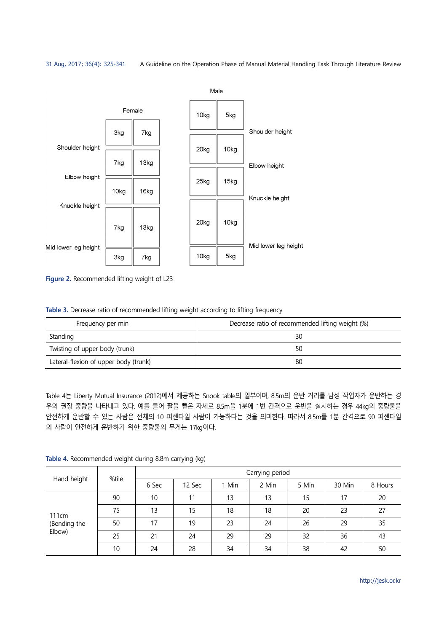

**Figure 2.** Recommended lifting weight of L23

**Table 3.** Decrease ratio of recommended lifting weight according to lifting frequency

| Frequency per min                     | Decrease ratio of recommended lifting weight (%) |
|---------------------------------------|--------------------------------------------------|
| Standing                              | 30                                               |
| Twisting of upper body (trunk)        | 50                                               |
| Lateral-flexion of upper body (trunk) | 80                                               |

Table 4는 Liberty Mutual Insurance (2012)에서 제공하는 Snook table의 일부이며, 8.5m의 운반 거리를 남성 작업자가 운반하는 경 우의 권장 중량을 나타내고 있다. 예를 들어 팔을 뻗은 자세로 8.5m을 1분에 1번 간격으로 운반을 실시하는 경우 44kg의 중량물을 안전하게 운반할 수 있는 사람은 전체의 10 퍼센타일 사람이 가능하다는 것을 의미한다. 따라서 8.5m를 1분 간격으로 90 퍼센타일 의 사람이 안전하게 운반하기 위한 중량물의 무게는 17kg이다.

|                                             | %tile | Carrying period |        |       |       |       |        |         |  |
|---------------------------------------------|-------|-----------------|--------|-------|-------|-------|--------|---------|--|
| Hand height                                 |       | 6 Sec           | 12 Sec | 1 Min | 2 Min | 5 Min | 30 Min | 8 Hours |  |
| 111 <sub>cm</sub><br>(Bending the<br>Elbow) | 90    | 10              | 11     | 13    | 13    | 15    | 17     | 20      |  |
|                                             | 75    | 13              | 15     | 18    | 18    | 20    | 23     | 27      |  |
|                                             | 50    | 17              | 19     | 23    | 24    | 26    | 29     | 35      |  |
|                                             | 25    | 21              | 24     | 29    | 29    | 32    | 36     | 43      |  |
|                                             | 10    | 24              | 28     | 34    | 34    | 38    | 42     | 50      |  |

**Table 4.** Recommended weight during 8.8m carrying (kg)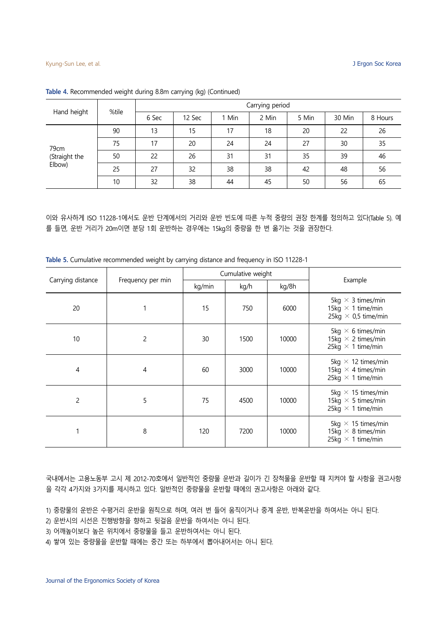| Hand height                     | %tile | Carrying period |        |       |       |       |        |         |  |  |
|---------------------------------|-------|-----------------|--------|-------|-------|-------|--------|---------|--|--|
|                                 |       | 6 Sec           | 12 Sec | 1 Min | 2 Min | 5 Min | 30 Min | 8 Hours |  |  |
| 79cm<br>(Straight the<br>Elbow) | 90    | 13              | 15     | 17    | 18    | 20    | 22     | 26      |  |  |
|                                 | 75    | 17              | 20     | 24    | 24    | 27    | 30     | 35      |  |  |
|                                 | 50    | 22              | 26     | 31    | 31    | 35    | 39     | 46      |  |  |
|                                 | 25    | 27              | 32     | 38    | 38    | 42    | 48     | 56      |  |  |
|                                 | 10    | 32              | 38     | 44    | 45    | 50    | 56     | 65      |  |  |

**Table 4.** Recommended weight during 8.8m carrying (kg) (Continued)

이와 유사하게 ISO 11228-1에서도 운반 단계에서의 거리와 운반 빈도에 따른 누적 중량의 권장 한계를 정의하고 있다(Table 5). 예 를 들면, 운반 거리가 20m이면 분당 1회 운반하는 경우에는 15kg의 중량을 한 번 옮기는 것을 권장한다.

| Carrying distance | Frequency per min |        | Cumulative weight | Example |                                                                                    |
|-------------------|-------------------|--------|-------------------|---------|------------------------------------------------------------------------------------|
|                   |                   | kg/min | kg/h<br>kg/8h     |         |                                                                                    |
| 20                |                   | 15     | 750               | 6000    | 5kg $\times$ 3 times/min<br>15kg $\times$ 1 time/min<br>25kg $\times$ 0,5 time/min |
| 10                | 2                 | 30     | 1500              | 10000   | 5kg $\times$ 6 times/min<br>15kg $\times$ 2 times/min<br>25kg $\times$ 1 time/min  |
| 4                 | 4                 | 60     | 3000              | 10000   | 5kg $\times$ 12 times/min<br>15kg $\times$ 4 times/min<br>25kg $\times$ 1 time/min |
| $\overline{c}$    | 5                 | 75     | 4500              | 10000   | 5kg $\times$ 15 times/min<br>15kg $\times$ 5 times/min<br>25kg $\times$ 1 time/min |
|                   | 8                 | 120    | 7200              | 10000   | 5kg $\times$ 15 times/min<br>15kg $\times$ 8 times/min<br>25kg $\times$ 1 time/min |

**Table 5.** Cumulative recommended weight by carrying distance and frequency in ISO 11228-1

국내에서는 고용노동부 고시 제 2012-70호에서 일반적인 중량물 운반과 길이가 긴 장척물을 운반할 때 지켜야 할 사항을 권고사항 을 각각 4가지와 3가지를 제시하고 있다. 일반적인 중량물을 운반할 때에의 권고사항은 아래와 같다.

- 1) 중량물의 운반은 수평거리 운반을 원칙으로 하며, 여러 번 들어 움직이거나 중계 운반, 반복운반을 하여서는 아니 된다.
- 2) 운반시의 시선은 진행방향을 향하고 뒷걸음 운반을 하여서는 아니 된다.
- 3) 어깨높이보다 높은 위치에서 중량물을 들고 운반하여서는 아니 된다.

4) 쌓여 있는 중량물을 운반할 때에는 중간 또는 하부에서 뽑아내어서는 아니 된다.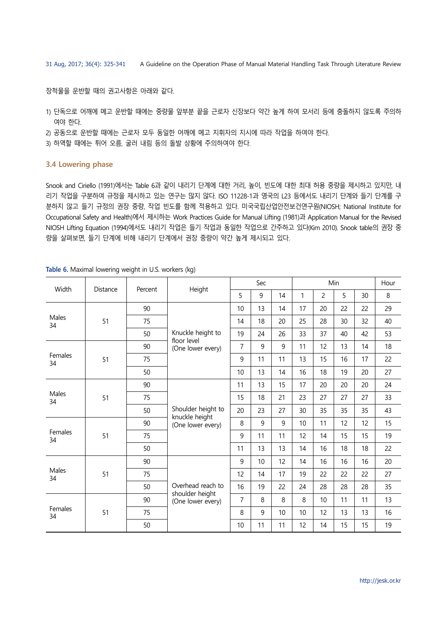장척물을 운반할 때의 권고사항은 아래와 같다.

- 1) 단독으로 어깨에 메고 운반할 때에는 중량물 앞부분 끝을 근로자 신장보다 약간 높게 하여 모서리 등에 충돌하지 않도록 주의하 여야 한다.
- 2) 공동으로 운반할 때에는 근로자 모두 동일한 어깨에 메고 지휘자의 지시에 따라 작업을 하여야 한다.
- 3) 하역할 때에는 튀어 오름, 굴러 내림 등의 돌발 상황에 주의하여야 한다.

### **3.4 Lowering phase**

Snook and Ciriello (1991)에서는 Table 6과 같이 내리기 단계에 대한 거리, 높이, 빈도에 대한 최대 허용 중량을 제시하고 있지만, 내 리기 작업을 구분하여 규정을 제시하고 있는 연구는 많지 않다. ISO 11228-1과 영국의 L23 등에서도 내리기 단계와 들기 단계를 구 분하지 않고 들기 규정의 권장 중량, 작업 빈도를 함께 적용하고 있다. 미국국립산업안전보건연구원(NIOSH; National Institute for Occupational Safety and Health)에서 제시하는 Work Practices Guide for Manual Lifting (1981)과 Application Manual for the Revised NIOSH Lifting Equation (1994)에서도 내리기 작업은 들기 작업과 동일한 작업으로 간주하고 있다(Kim 2010). Snook table의 권장 중 량을 살펴보면, 들기 단계에 비해 내리기 단계에서 권장 중량이 약간 높게 제시되고 있다.

| Width         |                               |    |                                                           |                | Sec          |    |    | Hour           |    |    |    |
|---------------|-------------------------------|----|-----------------------------------------------------------|----------------|--------------|----|----|----------------|----|----|----|
|               | Height<br>Distance<br>Percent |    |                                                           | 5              | 9            | 14 | 1  | $\overline{c}$ | 5  | 30 | 8  |
|               |                               | 90 |                                                           | 10             | 13           | 14 | 17 | 20             | 22 | 22 | 29 |
| Males<br>34   | 51                            | 75 |                                                           | 14             | 18           | 20 | 25 | 28             | 30 | 32 | 40 |
|               |                               | 50 | Knuckle height to<br>floor level                          | 19             | 24           | 26 | 33 | 37             | 40 | 42 | 53 |
|               |                               | 90 | (One lower every)                                         | $\overline{7}$ | 9            | 9  | 11 | 12             | 13 | 14 | 18 |
| Females<br>34 | 51                            | 75 |                                                           | 9              | 11           | 11 | 13 | 15             | 16 | 17 | 22 |
|               |                               | 50 |                                                           | 10             | 13           | 14 | 16 | 18             | 19 | 20 | 27 |
| Males<br>34   |                               | 90 | Shoulder height to<br>knuckle height<br>(One lower every) | 11             | 13           | 15 | 17 | 20             | 20 | 20 | 24 |
|               | 51<br>51                      | 75 |                                                           | 15             | 18           | 21 | 23 | 27             | 27 | 27 | 33 |
|               |                               | 50 |                                                           | 20             | 23           | 27 | 30 | 35             | 35 | 35 | 43 |
|               |                               | 90 |                                                           | 8              | $\mathsf{q}$ | 9  | 10 | 11             | 12 | 12 | 15 |
| Females<br>34 |                               | 75 |                                                           | 9              | 11           | 11 | 12 | 14             | 15 | 15 | 19 |
|               |                               | 50 |                                                           | 11             | 13           | 13 | 14 | 16             | 18 | 18 | 22 |
|               |                               | 90 |                                                           | 9              | 10           | 12 | 14 | 16             | 16 | 16 | 20 |
| Males<br>34   | 51                            | 75 |                                                           | 12             | 14           | 17 | 19 | 22             | 22 | 22 | 27 |
|               |                               | 50 | Overhead reach to                                         | 16             | 19           | 22 | 24 | 28             | 28 | 28 | 35 |
|               |                               | 90 | shoulder height<br>(One lower every)                      | $\overline{7}$ | 8            | 8  | 8  | 10             | 11 | 11 | 13 |
| Females<br>34 | 51                            | 75 |                                                           | 8              | 9            | 10 | 10 | 12             | 13 | 13 | 16 |
|               |                               | 50 |                                                           | 10             | 11           | 11 | 12 | 14             | 15 | 15 | 19 |

**Table 6.** Maximal lowering weight in U.S. workers (kg)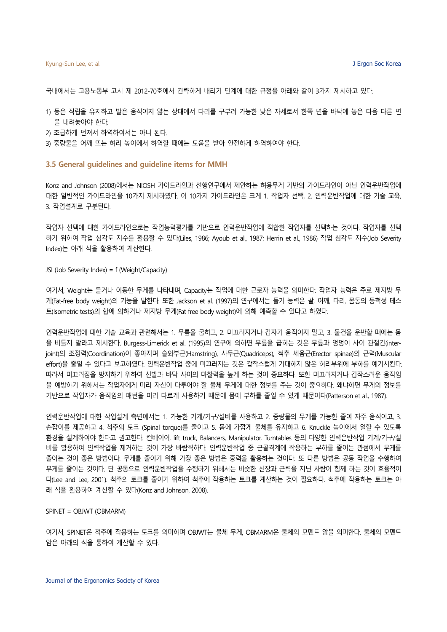국내에서는 고용노동부 고시 제 2012-70호에서 간략하게 내리기 단계에 대한 규정을 아래와 같이 3가지 제시하고 있다.

- 1) 등은 직립을 유지하고 발은 움직이지 않는 상태에서 다리를 구부려 가능한 낮은 자세로서 한쪽 면을 바닥에 놓은 다음 다른 면 을 내려놓아야 한다.
- 2) 조급하게 던져서 하역하여서는 아니 된다.
- 3) 중량물을 어깨 또는 허리 높이에서 하역할 때에는 도움을 받아 안전하게 하역하여야 한다.

### **3.5 General guidelines and guideline items for MMH**

Konz and Johnson (2008)에서는 NIOSH 가이드라인과 선행연구에서 제안하는 허용무게 기반의 가이드라인이 아닌 인력운반작업에 대한 일반적인 가이드라인을 10가지 제시하였다. 이 10가지 가이드라인은 크게 1. 작업자 선택, 2. 인력운반작업에 대한 기술 교육, 3. 작업설계로 구분된다.

작업자 선택에 대한 가이드라인으로는 작업능력평가를 기반으로 인력운반작업에 적합한 작업자를 선택하는 것이다. 작업자를 선택 하기 위하여 작업 심각도 지수를 활용할 수 있다(Liles, 1986; Ayoub et al., 1987; Herrin et al., 1986) 작업 심각도 지수(Job Severity Index)는 아래 식을 활용하여 계산한다.

JSI (Job Severity Index) = f (Weight/Capacity)

여기서, Weight는 들거나 이동한 무게를 나타내며, Capacity는 작업에 대한 근로자 능력을 의미한다. 작업자 능력은 주로 제지방 무 게(Fat-free body weight)의 기능을 말한다. 또한 Jackson et al. (1997)의 연구에서는 들기 능력은 팔, 어깨, 다리, 몸통의 등척성 테스 트(Isometric tests)의 합에 의하거나 제지방 무게(Fat-free body weight)에 의해 예측할 수 있다고 하였다.

인력운반작업에 대한 기술 교육과 관련해서는 1. 무릎을 굽히고, 2. 미끄러지거나 갑자기 움직이지 말고, 3. 물건을 운반할 때에는 몸 을 비틀지 말라고 제시한다. Burgess-Limerick et al. (1995)의 연구에 의하면 무릎을 굽히는 것은 무릎과 엉덩이 사이 관절간(interjoint)의 조정력(Coordination)이 좋아지며 슬와부근(Hamstring), 사두근(Quadriceps), 척추 세움근(Erector spinae)의 근력(Muscular effort)을 줄일 수 있다고 보고하였다. 인력운반작업 중에 미끄러지는 것은 갑작스럽게 기대하지 않은 허리부위에 부하를 예기시킨다. 따라서 미끄러짐을 방지하기 위하여 신발과 바닥 사이의 마찰력을 높게 하는 것이 중요하다. 또한 미끄러지거나 갑작스러운 움직임 을 예방하기 위해서는 작업자에게 미리 자신이 다루어야 할 물체 무게에 대한 정보를 주는 것이 중요하다. 왜냐하면 무게의 정보를 기반으로 작업자가 움직임의 패턴을 미리 다르게 사용하기 때문에 몸에 부하를 줄일 수 있게 때문이다(Patterson et al., 1987).

인력운반작업에 대한 작업설계 측면에서는 1. 가능한 기계/기구/설비를 사용하고 2. 중량물의 무게를 가능한 줄여 자주 움직이고, 3. 손잡이를 제공하고 4. 척추의 토크 (Spinal torque)를 줄이고 5. 몸에 가깝게 물체를 유지하고 6. Knuckle 높이에서 일할 수 있도록 환경을 설계하여야 한다고 권고한다. 컨베이어, lift truck, Balancers, Manipulator, Turntables 등의 다양한 인력운반작업 기계/기구/설 비를 활용하여 인력작업을 제거하는 것이 가장 바람직하다. 인력운반작업 중 근골격계에 작용하는 부하를 줄이는 관점에서 무게를 줄이는 것이 좋은 방법이다. 무게를 줄이기 위해 가장 좋은 방법은 중력을 활용하는 것이다. 또 다른 방법은 공동 작업을 수행하여 무게를 줄이는 것이다. 단 공동으로 인력운반작업을 수행하기 위해서는 비슷한 신장과 근력을 지닌 사람이 함께 하는 것이 효율적이 다(Lee and Lee, 2001). 척추의 토크를 줄이기 위하여 척추에 작용하는 토크를 계산하는 것이 필요하다. 척추에 작용하는 토크는 아 래 식을 활용하여 계산할 수 있다(Konz and Johnson, 2008).

### SPINET = OBJWT (OBMARM)

여기서, SPINET은 척추에 작용하는 토크를 의미하며 OBJWT는 물체 무게, OBMARM은 물체의 모멘트 암을 의미한다. 물체의 모멘트 암은 아래의 식을 통하여 계산할 수 있다.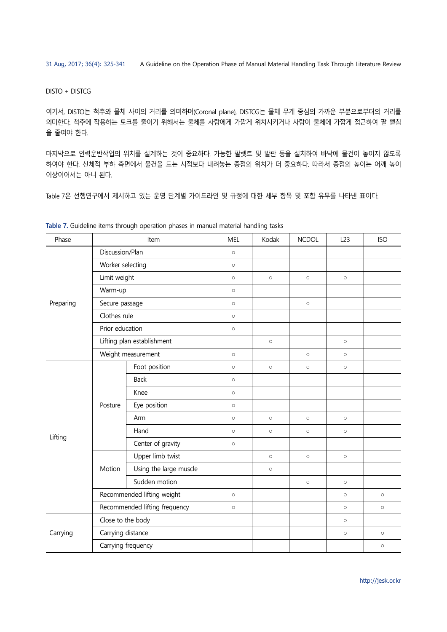DISTO + DISTCG

여기서, DISTO는 척추와 물체 사이의 거리를 의미하며(Coronal plane), DISTCG는 물체 무게 중심의 가까운 부분으로부터의 거리를 의미한다. 척추에 작용하는 토크를 줄이기 위해서는 물체를 사람에게 가깝게 위치시키거나 사람이 물체에 가깝게 접근하여 팔 뻗침 을 줄여야 한다.

마지막으로 인력운반작업의 위치를 설계하는 것이 중요하다. 가능한 팔렛트 및 발판 등을 설치하여 바닥에 물건이 놓이지 않도록 하여야 한다. 신체적 부하 측면에서 물건을 드는 시점보다 내려놓는 종점의 위치가 더 중요하다. 따라서 종점의 높이는 어깨 높이 이상이어서는 아니 된다.

Table 7은 선행연구에서 제시하고 있는 운영 단계별 가이드라인 및 규정에 대한 세부 항목 및 포함 유무를 나타낸 표이다.

| Phase     |         | Item                                                                                                                                                                                                                                                                                                                                                                                                                                                                                                                                     | <b>MEL</b> | Kodak   | <b>NCDOL</b> | L23     | <b>ISO</b> |
|-----------|---------|------------------------------------------------------------------------------------------------------------------------------------------------------------------------------------------------------------------------------------------------------------------------------------------------------------------------------------------------------------------------------------------------------------------------------------------------------------------------------------------------------------------------------------------|------------|---------|--------------|---------|------------|
|           |         |                                                                                                                                                                                                                                                                                                                                                                                                                                                                                                                                          | $\circ$    |         |              |         |            |
|           |         |                                                                                                                                                                                                                                                                                                                                                                                                                                                                                                                                          | $\circ$    |         |              |         |            |
|           |         |                                                                                                                                                                                                                                                                                                                                                                                                                                                                                                                                          | $\circ$    | $\circ$ | $\circ$      | $\circ$ |            |
|           |         |                                                                                                                                                                                                                                                                                                                                                                                                                                                                                                                                          | $\circ$    |         |              |         |            |
| Preparing |         |                                                                                                                                                                                                                                                                                                                                                                                                                                                                                                                                          | $\circ$    |         | $\circ$      |         |            |
|           |         |                                                                                                                                                                                                                                                                                                                                                                                                                                                                                                                                          | $\circ$    |         |              |         |            |
|           |         |                                                                                                                                                                                                                                                                                                                                                                                                                                                                                                                                          | $\circ$    |         |              |         |            |
|           |         |                                                                                                                                                                                                                                                                                                                                                                                                                                                                                                                                          |            | $\circ$ |              | $\circ$ |            |
|           |         | Weight measurement                                                                                                                                                                                                                                                                                                                                                                                                                                                                                                                       |            |         | $\circ$      | $\circ$ |            |
|           |         | Foot position                                                                                                                                                                                                                                                                                                                                                                                                                                                                                                                            | $\circ$    | $\circ$ | $\circ$      | $\circ$ |            |
|           | Posture | <b>Back</b>                                                                                                                                                                                                                                                                                                                                                                                                                                                                                                                              | $\circ$    |         |              |         |            |
|           |         | Knee                                                                                                                                                                                                                                                                                                                                                                                                                                                                                                                                     | $\circ$    |         |              |         |            |
|           |         | Eye position                                                                                                                                                                                                                                                                                                                                                                                                                                                                                                                             | $\circ$    |         |              |         |            |
|           |         | Arm                                                                                                                                                                                                                                                                                                                                                                                                                                                                                                                                      | $\circ$    | $\circ$ | $\circ$      | $\circ$ |            |
|           |         | Hand                                                                                                                                                                                                                                                                                                                                                                                                                                                                                                                                     | $\circ$    | $\circ$ | $\circ$      | $\circ$ |            |
| Lifting   |         | Discussion/Plan<br>Worker selecting<br>Limit weight<br>Warm-up<br>Secure passage<br>Clothes rule<br>Prior education<br>Lifting plan establishment<br>$\circ$<br>Center of gravity<br>$\circ$<br>Upper limb twist<br>$\circ$<br>$\circ$<br>$\circ$<br>Motion<br>Using the large muscle<br>$\circ$<br>Sudden motion<br>$\circ$<br>$\circ$<br>Recommended lifting weight<br>$\circ$<br>$\circ$<br>Recommended lifting frequency<br>$\circ$<br>$\circ$<br>Close to the body<br>$\circ$<br>Carrying distance<br>$\circ$<br>Carrying frequency |            |         |              |         |            |
|           |         |                                                                                                                                                                                                                                                                                                                                                                                                                                                                                                                                          |            |         |              |         |            |
|           |         |                                                                                                                                                                                                                                                                                                                                                                                                                                                                                                                                          |            |         |              |         |            |
|           |         |                                                                                                                                                                                                                                                                                                                                                                                                                                                                                                                                          |            |         |              |         |            |
|           |         |                                                                                                                                                                                                                                                                                                                                                                                                                                                                                                                                          |            |         |              |         | $\circ$    |
|           |         |                                                                                                                                                                                                                                                                                                                                                                                                                                                                                                                                          |            |         |              |         | $\circ$    |
|           |         |                                                                                                                                                                                                                                                                                                                                                                                                                                                                                                                                          |            |         |              |         |            |
| Carrying  |         |                                                                                                                                                                                                                                                                                                                                                                                                                                                                                                                                          |            |         |              |         | $\circ$    |
|           |         |                                                                                                                                                                                                                                                                                                                                                                                                                                                                                                                                          |            |         |              |         | $\circ$    |

**Table 7.** Guideline items through operation phases in manual material handling tasks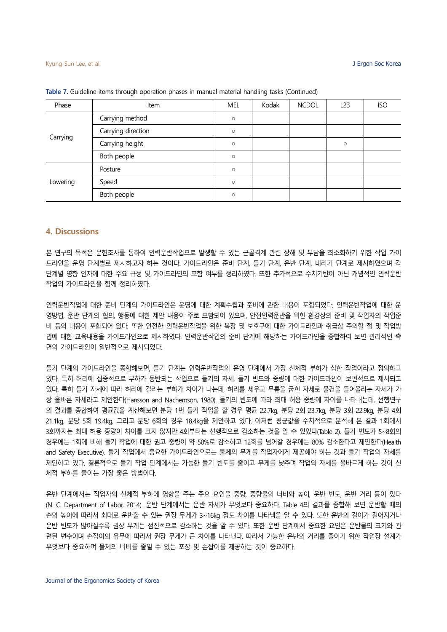| Phase    | Item               | <b>MEL</b> | Kodak | <b>NCDOL</b> | L <sub>23</sub> | <b>ISO</b> |
|----------|--------------------|------------|-------|--------------|-----------------|------------|
| Carrying | Carrying method    | $\circ$    |       |              |                 |            |
|          | Carrying direction | $\circ$    |       |              |                 |            |
|          | Carrying height    | $\circ$    |       |              | $\circ$         |            |
|          | Both people        | $\circ$    |       |              |                 |            |
| Lowering | Posture            | $\circ$    |       |              |                 |            |
|          | Speed              | $\circ$    |       |              |                 |            |
|          | Both people        | $\circ$    |       |              |                 |            |

**Table 7.** Guideline items through operation phases in manual material handling tasks (Continued)

### **4. Discussions**

본 연구의 목적은 문헌조사를 통하여 인력운반작업으로 발생할 수 있는 근골격계 관련 상해 및 부담을 최소화하기 위한 작업 가이 드라인을 운영 단계별로 제시하고자 하는 것이다. 가이드라인은 준비 단계, 들기 단계, 운반 단계, 내리기 단계로 제시하였으며 각 단계별 영향 인자에 대한 주요 규정 및 가이드라인의 포함 여부를 정리하였다. 또한 추가적으로 수치기반이 아닌 개념적인 인력운반 작업의 가이드라인을 함께 정리하였다.

인력운반작업에 대한 준비 단계의 가이드라인은 운영에 대한 계획수립과 준비에 관한 내용이 포함되었다. 인력운반작업에 대한 운 영방법, 운반 단계의 협의, 행동에 대한 제안 내용이 주로 포함되어 있으며, 안전인력운반을 위한 환경상의 준비 및 작업자의 작업준 비 등의 내용이 포함되어 있다. 또한 안전한 인력운반작업을 위한 복장 및 보호구에 대한 가이드라인과 취급상 주의할 점 및 작업방 법에 대한 교육내용을 가이드라인으로 제시하였다. 인력운반작업의 준비 단계에 해당하는 가이드라인을 종합하여 보면 관리적인 측 면의 가이드라인이 일반적으로 제시되었다.

들기 단계의 가이드라인을 종합해보면, 들기 단계는 인력운반작업의 운영 단계에서 가장 신체적 부하가 심한 작업이라고 정의하고 있다. 특히 허리에 집중적으로 부하가 동반되는 작업으로 들기의 자세, 들기 빈도와 중량에 대한 가이드라인이 보편적으로 제시되고 있다. 특히 들기 자세에 따라 허리에 걸리는 부하가 차이가 나는데, 허리를 세우고 무릎을 굽힌 자세로 물건을 들어올리는 자세가 가 장 올바른 자세라고 제안한다(Hansson and Nachemson, 1980). 들기의 빈도에 따라 최대 허용 중량에 차이를 나타내는데, 선행연구 의 결과를 종합하여 평균값을 계산해보면 분당 1번 들기 작업을 할 경우 평균 22.7kg, 분당 2회 23.7kg, 분당 3회 22.9kg, 분당 4회 21.1kg, 분당 5회 19.4kg, 그리고 분당 6회의 경우 18.4kg을 제안하고 있다. 이처럼 평균값을 수치적으로 분석해 본 결과 1회에서 3회까지는 최대 허용 중량이 차이를 크지 않지만 4회부터는 선행적으로 감소하는 것을 알 수 있었다(Table 2). 들기 빈도가 5~8회의 경우에는 1회에 비해 들기 작업에 대한 권고 중량이 약 50%로 감소하고 12회를 넘어갈 경우에는 80% 감소한다고 제안한다(Health and Safety Executive). 들기 작업에서 중요한 가이드라인으로는 물체의 무게를 작업자에게 제공해야 하는 것과 들기 작업의 자세를 제안하고 있다. 결론적으로 들기 작업 단계에서는 가능한 들기 빈도를 줄이고 무게를 낮추며 작업의 자세를 올바르게 하는 것이 신 체적 부하를 줄이는 가장 좋은 방법이다.

운반 단계에서는 작업자의 신체적 부하에 영향을 주는 주요 요인을 중량, 중량물의 너비와 높이, 운반 빈도, 운반 거리 등이 있다 (N. C. Department of Labor, 2014). 운반 단계에서는 운반 자세가 무엇보다 중요하다. Table 4의 결과를 종합해 보면 운반할 때의 손의 높이에 따라서 최대로 운반할 수 있는 권장 무게가 3~16kg 정도 차이를 나타냄을 알 수 있다. 또한 운반의 길이가 길어지거나 운반 빈도가 많아질수록 권장 무게는 점진적으로 감소하는 것을 알 수 있다. 또한 운반 단계에서 중요한 요인은 운반물의 크기와 관 련된 변수이며 손잡이의 유무에 따라서 권장 무게가 큰 차이를 나타낸다. 따라서 가능한 운반의 거리를 줄이기 위한 작업장 설계가 무엇보다 중요하며 물체의 너비를 줄일 수 있는 포장 및 손잡이를 제공하는 것이 중요하다.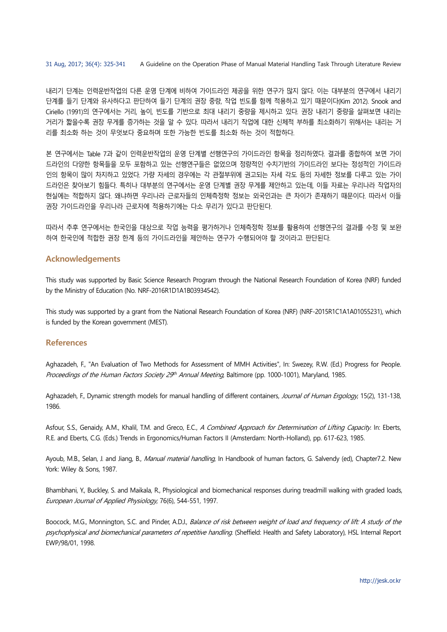내리기 단계는 인력운반작업의 다른 운영 단계에 비하여 가이드라인 제공을 위한 연구가 많지 않다. 이는 대부분의 연구에서 내리기 단계를 들기 단계와 유사하다고 판단하여 들기 단계의 권장 중량, 작업 빈도를 함께 적용하고 있기 때문이다(Kim 2012). Snook and Ciriello (1991)의 연구에서는 거리, 높이, 빈도를 기반으로 최대 내리기 중량을 제시하고 있다. 권장 내리기 중량을 살펴보면 내리는 거리가 짧을수록 권장 무게를 증가하는 것을 알 수 있다. 따라서 내리기 작업에 대한 신체적 부하를 최소화하기 위해서는 내리는 거 리를 최소화 하는 것이 무엇보다 중요하며 또한 가능한 빈도를 최소화 하는 것이 적합하다.

본 연구에서는 Table 7과 같이 인력운반작업의 운영 단계별 선행연구의 가이드라인 항목을 정리하였다. 결과를 종합하여 보면 가이 드라인의 다양한 항목들을 모두 포함하고 있는 선행연구들은 없었으며 정량적인 수치기반의 가이드라인 보다는 정성적인 가이드라 인의 항목이 많이 차지하고 있었다. 가량 자세의 경우에는 각 관절부위에 권고되는 자세 각도 등의 자세한 정보를 다루고 있는 가이 드라인은 찾아보기 힘들다. 특히나 대부분의 연구에서는 운영 단계별 권장 무게를 제안하고 있는데, 이들 자료는 우리나라 작업자의 현실에는 적합하지 않다. 왜냐하면 우리나라 근로자들의 인체측정학 정보는 외국인과는 큰 차이가 존재하기 때문이다. 따라서 이들 권장 가이드라인을 우리나라 근로자에 적용하기에는 다소 무리가 있다고 판단된다.

따라서 추후 연구에서는 한국인을 대상으로 작업 능력을 평가하거나 인체측정학 정보를 활용하여 선행연구의 결과를 수정 및 보완 하여 한국인에 적합한 권장 한계 등의 가이드라인을 제안하는 연구가 수행되어야 할 것이라고 판단된다.

# **Acknowledgements**

This study was supported by Basic Science Research Program through the National Research Foundation of Korea (NRF) funded by the Ministry of Education (No. NRF-2016R1D1A1B03934542).

This study was supported by a grant from the National Research Foundation of Korea (NRF) (NRF-2015R1C1A1A01055231), which is funded by the Korean government (MEST).

# **References**

Aghazadeh, F., "An Evaluation of Two Methods for Assessment of MMH Activities", In: Swezey, R.W. (Ed.) Progress for People. Proceedings of the Human Factors Society 29th Annual Meeting, Baltimore (pp. 1000-1001), Maryland, 1985.

Aghazadeh, F., Dynamic strength models for manual handling of different containers, Journal of Human Ergology, 15(2), 131-138, 1986.

Asfour, S.S., Genaidy, A.M., Khalil, T.M. and Greco, E.C., A Combined Approach for Determination of Lifting Capacity. In: Eberts, R.E. and Eberts, C.G. (Eds.) Trends in Ergonomics/Human Factors II (Amsterdam: North-Holland), pp. 617-623, 1985.

Ayoub, M.B., Selan, J. and Jiang, B., *Manual material handling*, In Handbook of human factors, G. Salvendy (ed), Chapter7.2. New York: Wiley & Sons, 1987.

Bhambhani, Y., Buckley, S. and Maikala, R., Physiological and biomechanical responses during treadmill walking with graded loads, European Journal of Applied Physiology, 76(6), 544-551, 1997.

Boocock, M.G., Monnington, S.C. and Pinder, A.D.J., Balance of risk between weight of load and frequency of lift: A study of the psychophysical and biomechanical parameters of repetitive handling. (Sheffield: Health and Safety Laboratory), HSL Internal Report EWP/98/01, 1998.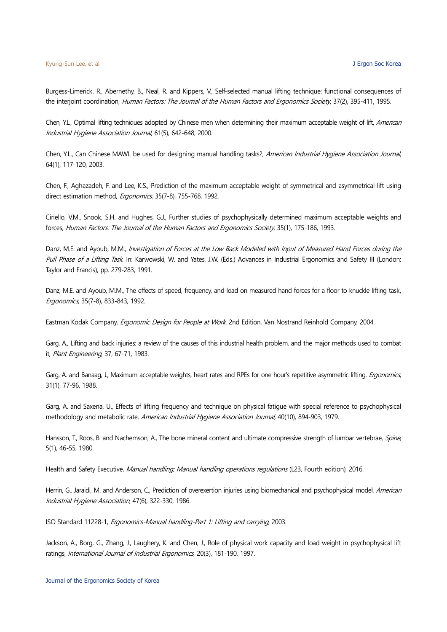Burgess-Limerick, R., Abernethy, B., Neal, R. and Kippers, V., Self-selected manual lifting technique: functional consequences of the interjoint coordination, Human Factors: The Journal of the Human Factors and Ergonomics Society, 37(2), 395-411, 1995.

Chen, Y.L., Optimal lifting techniques adopted by Chinese men when determining their maximum acceptable weight of lift, American Industrial Hygiene Association Journal, 61(5), 642-648, 2000.

Chen, Y.L., Can Chinese MAWL be used for designing manual handling tasks?, American Industrial Hygiene Association Journal, 64(1), 117-120, 2003.

Chen, F., Aghazadeh, F. and Lee, K.S., Prediction of the maximum acceptable weight of symmetrical and asymmetrical lift using direct estimation method, *Ergonomics*, 35(7-8), 755-768, 1992.

Ciriello, V.M., Snook, S.H. and Hughes, G.J., Further studies of psychophysically determined maximum acceptable weights and forces, Human Factors: The Journal of the Human Factors and Ergonomics Society, 35(1), 175-186, 1993.

Danz, M.E. and Ayoub, M.M., Investigation of Forces at the Low Back Modeled with Input of Measured Hand Forces during the Pull Phase of a Lifting Task. In: Karwowski, W. and Yates, J.W. (Eds.) Advances in Industrial Ergonomics and Safety III (London: Taylor and Francis), pp. 279-283, 1991.

Danz, M.E. and Ayoub, M.M., The effects of speed, frequency, and load on measured hand forces for a floor to knuckle lifting task, Ergonomics, 35(7-8), 833-843, 1992.

Eastman Kodak Company, Ergonomic Design for People at Work. 2nd Edition, Van Nostrand Reinhold Company, 2004.

Garg, A., Lifting and back injuries: a review of the causes of this industrial health problem, and the major methods used to combat it, Plant Engineering, 37, 67-71, 1983.

Garg, A. and Banaag, J., Maximum acceptable weights, heart rates and RPEs for one hour's repetitive asymmetric lifting, *Ergonomics*, 31(1), 77-96, 1988.

Garg, A. and Saxena, U., Effects of lifting frequency and technique on physical fatigue with special reference to psychophysical methodology and metabolic rate, American Industrial Hygiene Association Journal, 40(10), 894-903, 1979.

Hansson, T., Roos, B. and Nachemson, A., The bone mineral content and ultimate compressive strength of lumbar vertebrae, Spine, 5(1), 46-55, 1980.

Health and Safety Executive, Manual handling; Manual handling operations regulations (L23, Fourth edition), 2016.

Herrin, G., Jaraidi, M. and Anderson, C., Prediction of overexertion injuries using biomechanical and psychophysical model, American Industrial Hygiene Association, 47(6), 322-330, 1986.

ISO Standard 11228-1, Ergonomics-Manual handling-Part 1: Lifting and carrying, 2003.

Jackson, A., Borg, G., Zhang, J., Laughery, K. and Chen, J., Role of physical work capacity and load weight in psychophysical lift ratings, International Journal of Industrial Ergonomics, 20(3), 181-190, 1997.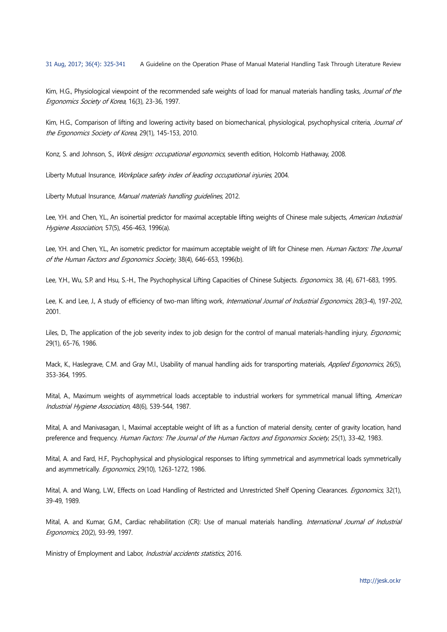Kim, H.G., Physiological viewpoint of the recommended safe weights of load for manual materials handling tasks, Journal of the Ergonomics Society of Korea, 16(3), 23-36, 1997.

Kim, H.G., Comparison of lifting and lowering activity based on biomechanical, physiological, psychophysical criteria, Journal of the Ergonomics Society of Korea, 29(1), 145-153, 2010.

Konz, S. and Johnson, S., Work design: occupational ergonomics, seventh edition, Holcomb Hathaway, 2008.

Liberty Mutual Insurance, Workplace safety index of leading occupational injuries, 2004.

Liberty Mutual Insurance, Manual materials handling quidelines, 2012.

Lee, Y.H. and Chen, Y.L., An isoinertial predictor for maximal acceptable lifting weights of Chinese male subjects, American Industrial Hygiene Association, 57(5), 456-463, 1996(a).

Lee, Y.H. and Chen, Y.L., An isometric predictor for maximum acceptable weight of lift for Chinese men. Human Factors: The Journal of the Human Factors and Ergonomics Society, 38(4), 646-653, 1996(b).

Lee, Y.H., Wu, S.P. and Hsu, S.-H., The Psychophysical Lifting Capacities of Chinese Subjects. Ergonomics, 38, (4), 671-683, 1995.

Lee, K. and Lee, J., A study of efficiency of two-man lifting work, International Journal of Industrial Ergonomics, 28(3-4), 197-202, 2001.

Liles, D., The application of the job severity index to job design for the control of manual materials-handling injury, *Ergonomic*, 29(1), 65-76, 1986.

Mack, K., Haslegrave, C.M. and Gray M.I., Usability of manual handling aids for transporting materials, Applied Ergonomics, 26(5), 353-364, 1995.

Mital, A., Maximum weights of asymmetrical loads acceptable to industrial workers for symmetrical manual lifting, American Industrial Hygiene Association, 48(6), 539-544, 1987.

Mital, A. and Manivasagan, I., Maximal acceptable weight of lift as a function of material density, center of gravity location, hand preference and frequency. Human Factors: The Journal of the Human Factors and Ergonomics Society, 25(1), 33-42, 1983.

Mital, A. and Fard, H.F., Psychophysical and physiological responses to lifting symmetrical and asymmetrical loads symmetrically and asymmetrically. *Ergonomics*, 29(10), 1263-1272, 1986.

Mital, A. and Wang, L.W., Effects on Load Handling of Restricted and Unrestricted Shelf Opening Clearances. *Ergonomics*, 32(1), 39-49, 1989.

Mital, A. and Kumar, G.M., Cardiac rehabilitation (CR): Use of manual materials handling. International Journal of Industrial Ergonomics, 20(2), 93-99, 1997.

Ministry of Employment and Labor, Industrial accidents statistics, 2016.